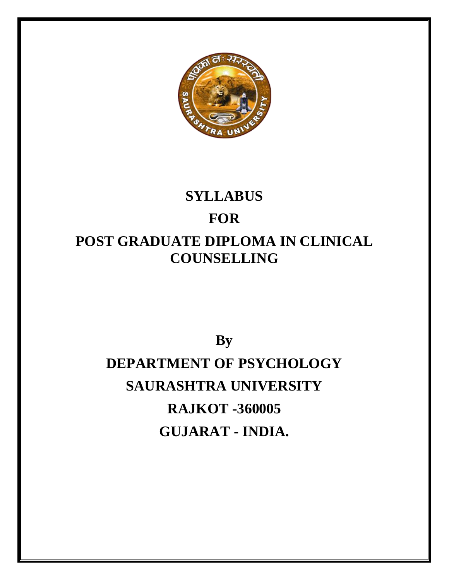

# **SYLLABUS FOR POST GRADUATE DIPLOMA IN CLINICAL COUNSELLING**

# **By DEPARTMENT OF PSYCHOLOGY SAURASHTRA UNIVERSITY RAJKOT -360005 GUJARAT - INDIA.**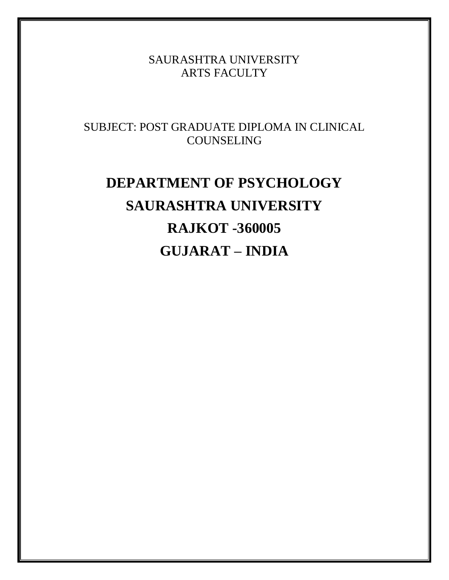SAURASHTRA UNIVERSITY ARTS FACULTY

SUBJECT: POST GRADUATE DIPLOMA IN CLINICAL COUNSELING

# **DEPARTMENT OF PSYCHOLOGY SAURASHTRA UNIVERSITY RAJKOT -360005 GUJARAT – INDIA**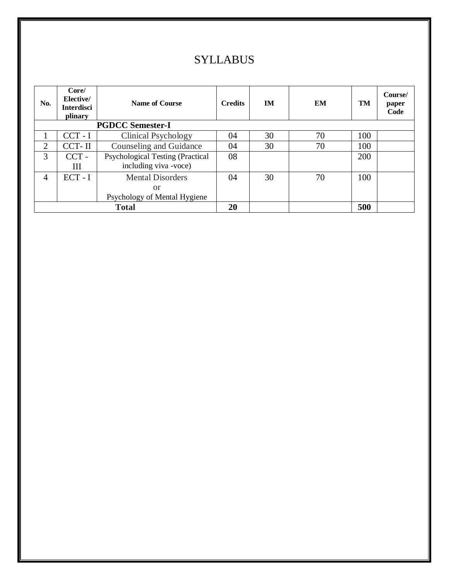# **SYLLABUS**

| No. | Core/<br>Elective/<br><b>Interdisci</b><br>plinary | <b>Name of Course</b>                   | <b>Credits</b> | IM | EM | TM  | Course/<br>paper<br>Code |
|-----|----------------------------------------------------|-----------------------------------------|----------------|----|----|-----|--------------------------|
|     |                                                    | <b>PGDCC Semester-I</b>                 |                |    |    |     |                          |
|     | $CCT - I$                                          | Clinical Psychology                     | 04             | 30 | 70 | 100 |                          |
| 2   | CCT-II                                             | Counseling and Guidance                 | 04             | 30 | 70 | 100 |                          |
| 3   | $CCT -$                                            | <b>Psychological Testing (Practical</b> | 08             |    |    | 200 |                          |
|     | Ш                                                  | including viva -voce)                   |                |    |    |     |                          |
| 4   | $ECT - I$                                          | <b>Mental Disorders</b>                 | 04             | 30 | 70 | 100 |                          |
|     |                                                    | <sub>or</sub>                           |                |    |    |     |                          |
|     |                                                    | Psychology of Mental Hygiene            |                |    |    |     |                          |
|     |                                                    | <b>Total</b>                            | 20             |    |    | 500 |                          |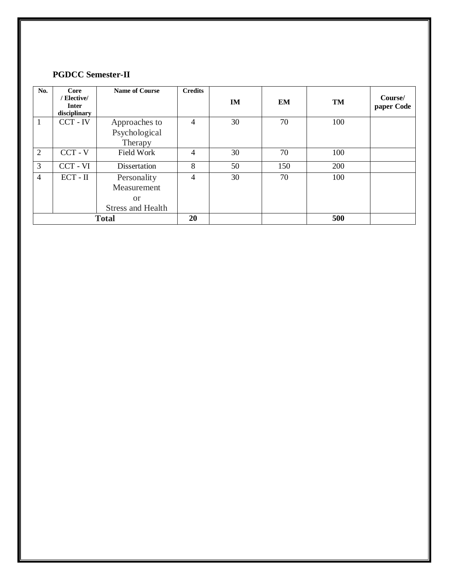#### **PGDCC Semester -II**

| No.            | Core<br>/ Elective/<br><b>Inter</b><br>disciplinary | <b>Name of Course</b>                                                   | <b>Credits</b> | <b>IM</b> | EM  | TM  | Course/<br>paper Code |
|----------------|-----------------------------------------------------|-------------------------------------------------------------------------|----------------|-----------|-----|-----|-----------------------|
| 1              | CCT - IV                                            | Approaches to                                                           | 4              | 30        | 70  | 100 |                       |
|                |                                                     | Psychological<br>Therapy                                                |                |           |     |     |                       |
| 2              | $CCT - V$                                           | Field Work                                                              | 4              | 30        | 70  | 100 |                       |
| 3              | CCT - VI                                            | Dissertation                                                            | 8              | 50        | 150 | 200 |                       |
| $\overline{4}$ | $ECT - II$                                          | Personality<br>Measurement<br><sub>or</sub><br><b>Stress and Health</b> | 4              | 30        | 70  | 100 |                       |
|                | <b>Total</b>                                        |                                                                         |                |           |     | 500 |                       |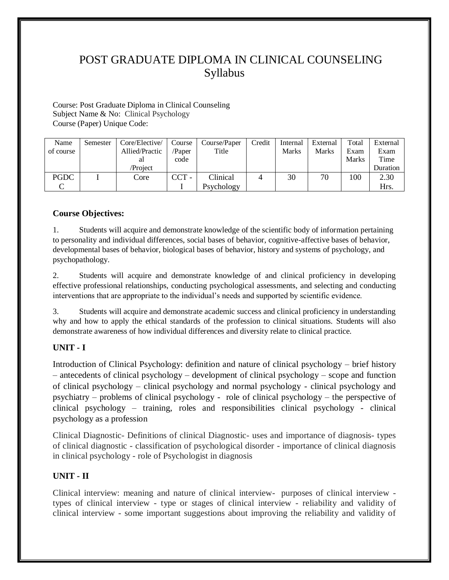Course: Post Graduate Diploma in Clinical Counseling Subject Name & No: Clinical Psychology Course (Paper) Unique Code:

| Name        | Semester | Core/Elective/ | Course  | Course/Paper | Credit | Internal | External | Total | External |
|-------------|----------|----------------|---------|--------------|--------|----------|----------|-------|----------|
| of course   |          | Allied/Practic | /Paper  | Title        |        | Marks    | Marks    | Exam  | Exam     |
|             |          | al             | code    |              |        |          |          | Marks | Time     |
|             |          | /Project       |         |              |        |          |          |       | Duration |
| <b>PGDC</b> |          | Core           | $CCT -$ | Clinical     |        | 30       | 70       | 100   | 2.30     |
|             |          |                |         | Psychology   |        |          |          |       | Hrs.     |

#### **Course Objectives:**

1. Students will acquire and demonstrate knowledge of the scientific body of information pertaining to personality and individual differences, social bases of behavior, cognitive-affective bases of behavior, developmental bases of behavior, biological bases of behavior, history and systems of psychology, and psychopathology.

2. Students will acquire and demonstrate knowledge of and clinical proficiency in developing effective professional relationships, conducting psychological assessments, and selecting and conducting interventions that are appropriate to the individual's needs and supported by scientific evidence.

3. Students will acquire and demonstrate academic success and clinical proficiency in understanding why and how to apply the ethical standards of the profession to clinical situations. Students will also demonstrate awareness of how individual differences and diversity relate to clinical practice.

#### **UNIT - I**

Introduction of Clinical Psychology: definition and nature of clinical psychology – brief history – antecedents of clinical psychology – development of clinical psychology – scope and function of clinical psychology – clinical psychology and normal psychology - clinical psychology and psychiatry – problems of clinical psychology - role of clinical psychology – the perspective of clinical psychology – training, roles and responsibilities clinical psychology - clinical psychology as a profession

Clinical Diagnostic- Definitions of clinical Diagnostic- uses and importance of diagnosis- types of clinical diagnostic - classification of psychological disorder - importance of clinical diagnosis in clinical psychology - role of Psychologist in diagnosis

#### **UNIT - II**

Clinical interview: meaning and nature of clinical interview- purposes of clinical interview types of clinical interview - type or stages of clinical interview - reliability and validity of clinical interview - some important suggestions about improving the reliability and validity of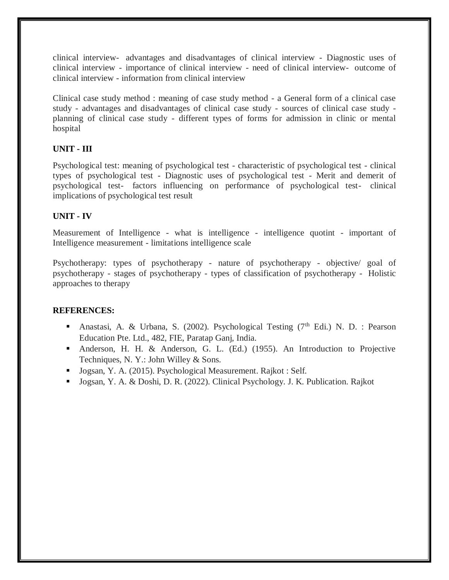clinical interview- advantages and disadvantages of clinical interview - Diagnostic uses of clinical interview - importance of clinical interview - need of clinical interview- outcome of clinical interview - information from clinical interview

Clinical case study method : meaning of case study method - a General form of a clinical case study - advantages and disadvantages of clinical case study - sources of clinical case study planning of clinical case study - different types of forms for admission in clinic or mental hospital

#### **UNIT - III**

Psychological test: meaning of psychological test - characteristic of psychological test - clinical types of psychological test - Diagnostic uses of psychological test - Merit and demerit of psychological test- factors influencing on performance of psychological test- clinical implications of psychological test result

#### **UNIT - IV**

Measurement of Intelligence - what is intelligence - intelligence quotint - important of Intelligence measurement - limitations intelligence scale

Psychotherapy: types of psychotherapy - nature of psychotherapy - objective/ goal of psychotherapy - stages of psychotherapy - types of classification of psychotherapy - Holistic approaches to therapy

#### **REFERENCES:**

- Anastasi, A. & Urbana, S. (2002). Psychological Testing  $(7<sup>th</sup> Edi.)$  N. D. : Pearson Education Pte. Ltd., 482, FIE, Paratap Ganj, India.
- Anderson, H. H. & Anderson, G. L. (Ed.) (1955). An Introduction to Projective Techniques, N. Y.: John Willey & Sons.
- Jogsan, Y. A. (2015). Psychological Measurement. Rajkot : Self.
- Jogsan, Y. A. & Doshi, D. R. (2022). Clinical Psychology. J. K. Publication. Rajkot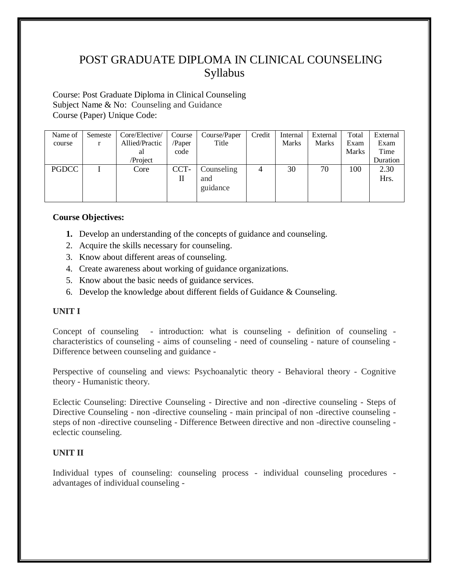Course: Post Graduate Diploma in Clinical Counseling Subject Name & No: Counseling and Guidance Course (Paper) Unique Code:

| Name of      | Semeste | Core/Elective/ | Course | Course/Paper | Credit         | Internal | External     | Total        | External |
|--------------|---------|----------------|--------|--------------|----------------|----------|--------------|--------------|----------|
| course       |         | Allied/Practic | /Paper | Title        |                | Marks    | <b>Marks</b> | Exam         | Exam     |
|              |         | al             | code   |              |                |          |              | <b>Marks</b> | Time     |
|              |         | /Project       |        |              |                |          |              |              | Duration |
| <b>PGDCC</b> |         | Core           | CCT-   | Counseling   | $\overline{4}$ | 30       | 70           | 100          | 2.30     |
|              |         |                | П      | and          |                |          |              |              | Hrs.     |
|              |         |                |        | guidance     |                |          |              |              |          |
|              |         |                |        |              |                |          |              |              |          |

#### **Course Objectives:**

- **1.** Develop an understanding of the concepts of guidance and counseling.
- 2. Acquire the skills necessary for counseling.
- 3. Know about different areas of counseling.
- 4. Create awareness about working of guidance organizations.
- 5. Know about the basic needs of guidance services.
- 6. Develop the knowledge about different fields of Guidance & Counseling.

#### **UNIT I**

Concept of counseling - introduction: what is counseling - definition of counseling characteristics of counseling - aims of counseling - need of counseling - nature of counseling - Difference between counseling and guidance -

Perspective of counseling and views: Psychoanalytic theory - Behavioral theory - Cognitive theory - Humanistic theory.

Eclectic Counseling: Directive Counseling - Directive and non -directive counseling - Steps of Directive Counseling - non -directive counseling - main principal of non -directive counseling steps of non -directive counseling - Difference Between directive and non -directive counseling eclectic counseling.

#### **UNIT II**

Individual types of counseling: counseling process - individual counseling procedures advantages of individual counseling -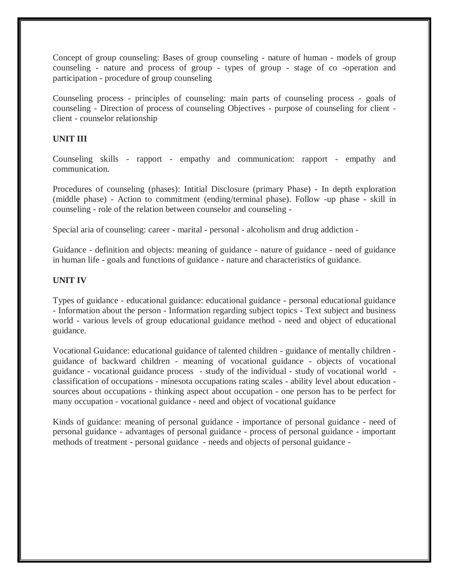Concept of group counseling: Bases of group counseling - nature of human - models of group counseling - nature and process of group - types of group - stage of co -operation and participation - procedure of group counseling

Counseling process - principles of counseling: main parts of counseling process - goals of counseling - Direction of process of counseling Objectives - purpose of counseling for client client - counselor relationship

#### **UNIT III**

Counseling skills - rapport - empathy and communication: rapport - empathy and communication.

Procedures of counseling (phases): Intitial Disclosure (primary Phase) - In depth exploration (middle phase) - Action to commitment (ending/terminal phase). Follow -up phase - skill in counseling - role of the relation between counselor and counseling -

Special aria of counseling: career - marital - personal - alcoholism and drug addiction -

Guidance - definition and objects: meaning of guidance - nature of guidance - need of guidance in human life - goals and functions of guidance - nature and characteristics of guidance.

#### **UNIT IV**

Types of guidance - educational guidance: educational guidance - personal educational guidance - Information about the person - Information regarding subject topics - Text subject and business world - various levels of group educational guidance method - need and object of educational guidance.

Vocational Guidance: educational guidance of talented children - guidance of mentally children guidance of backward children - meaning of vocational guidance - objects of vocational guidance - vocational guidance process - study of the individual - study of vocational world classification of occupations - minesota occupations rating scales - ability level about education sources about occupations - thinking aspect about occupation - one person has to be perfect for many occupation - vocational guidance - need and object of vocational guidance

Kinds of guidance: meaning of personal guidance - importance of personal guidance - need of personal guidance - advantages of personal guidance - process of personal guidance - important methods of treatment - personal guidance - needs and objects of personal guidance -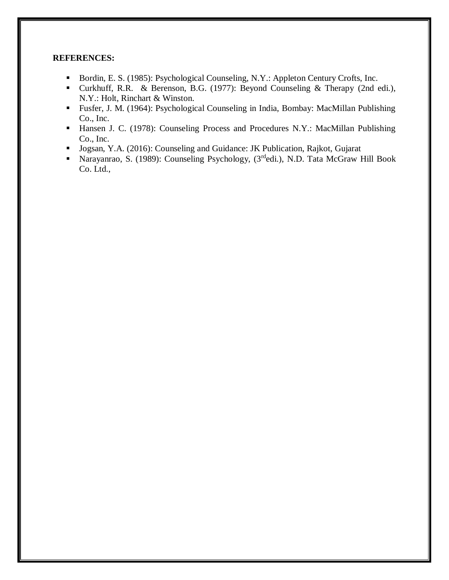#### **REFERENCES:**

- Bordin, E. S. (1985): Psychological Counseling, N.Y.: Appleton Century Crofts, Inc.
- Curkhuff, R.R. & Berenson, B.G. (1977): Beyond Counseling & Therapy (2nd edi.), N.Y.: Holt, Rinchart & Winston.
- Fusfer, J. M. (1964): Psychological Counseling in India, Bombay: MacMillan Publishing Co., Inc.
- **Hansen J. C. (1978): Counseling Process and Procedures N.Y.: MacMillan Publishing** Co., Inc.
- Jogsan, Y.A. (2016): Counseling and Guidance: JK Publication, Rajkot, Gujarat
- **Narayanrao, S. (1989): Counseling Psychology, (3rdedi.), N.D. Tata McGraw Hill Book** Co. Ltd.,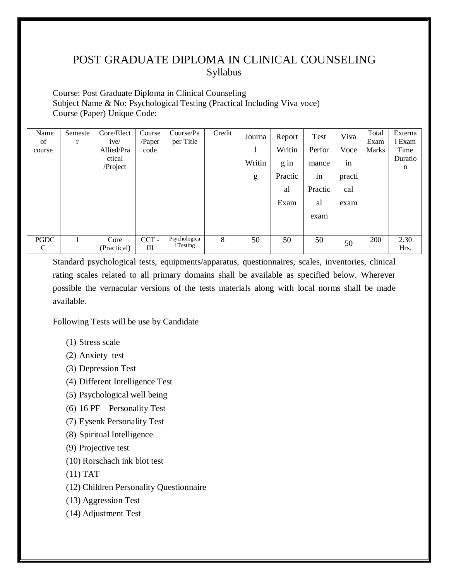Course: Post Graduate Diploma in Clinical Counseling Subject Name & No: Psychological Testing (Practical Including Viva voce) Course (Paper) Unique Code:

| Name<br>of<br>course        | Semeste<br>r | Core/Elect<br>ive/<br>Allied/Pra<br>ctical<br>/Project | Course<br>/Paper<br>code | Course/Pa<br>per Title    | Credit | Journa<br>Writin<br>g | Report<br>Writin<br>g in<br>Practic<br>al<br>Exam | Test<br>Perfor<br>mance<br>in<br>Practic<br>al<br>exam | Viva<br>Voce<br>in<br>practi<br>cal<br>exam | Total<br>Exam<br>Marks | Externa<br>1 Exam<br>Time<br>Duratio<br>n |
|-----------------------------|--------------|--------------------------------------------------------|--------------------------|---------------------------|--------|-----------------------|---------------------------------------------------|--------------------------------------------------------|---------------------------------------------|------------------------|-------------------------------------------|
| <b>PGDC</b><br>$\mathsf{C}$ |              | Core<br>(Practical)                                    | $CCT -$<br>III           | Psychologica<br>1 Testing | 8      | 50                    | 50                                                | 50                                                     | 50                                          | 200                    | 2.30<br>Hrs.                              |

Standard psychological tests, equipments/apparatus, questionnaires, scales, inventories, clinical rating scales related to all primary domains shall be available as specified below. Wherever possible the vernacular versions of the tests materials along with local norms shall be made available.

Following Tests will be use by Candidate

- (1) Stress scale
- (2) Anxiety test
- (3) Depression Test
- (4) Different Intelligence Test
- (5) Psychological well being
- (6) 16 PF Personality Test
- (7) Eysenk Personality Test
- (8) Spiritual Intelligence
- (9) Projective test
- (10) Rorschach ink blot test
- (11) TAT
- (12) Children Personality Questionnaire
- (13) Aggression Test
- (14) Adjustment Test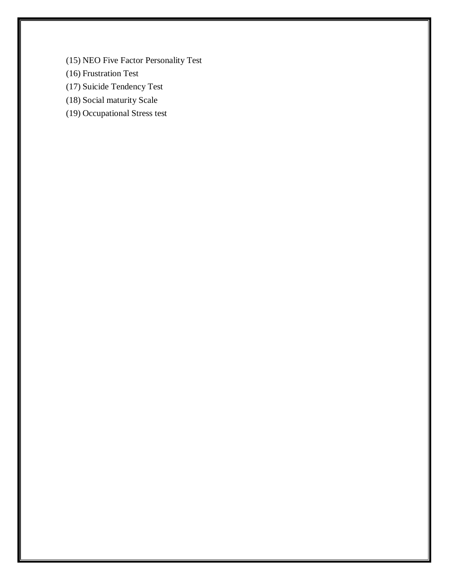- (15) NEO Five Factor Personality Test
- (16) Frustration Test
- (17) Suicide Tendency Test
- (18) Social maturity Scale
- (19) Occupational Stress test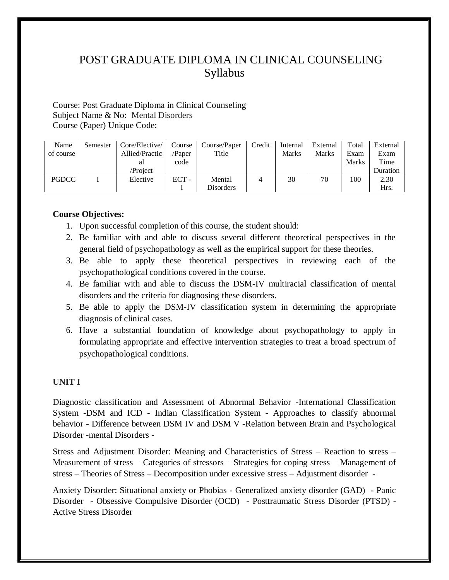Course: Post Graduate Diploma in Clinical Counseling Subject Name & No: Mental Disorders Course (Paper) Unique Code:

| Name         | Semester | Core/Elective/ | Course  | Course/Paper | Credit | Internal     | External     | Total        | External |
|--------------|----------|----------------|---------|--------------|--------|--------------|--------------|--------------|----------|
| of course    |          | Allied/Practic | /Paper  | Title        |        | <b>Marks</b> | <b>Marks</b> | Exam         | Exam     |
|              |          | al             | code    |              |        |              |              | <b>Marks</b> | Time     |
|              |          | /Project       |         |              |        |              |              |              | Duration |
| <b>PGDCC</b> |          | Elective       | $ECT -$ | Mental       |        | 30           | 70           | 100          | 2.30     |
|              |          |                |         | Disorders    |        |              |              |              | Hrs.     |

#### **Course Objectives:**

- 1. Upon successful completion of this course, the student should:
- 2. Be familiar with and able to discuss several different theoretical perspectives in the general field of psychopathology as well as the empirical support for these theories.
- 3. Be able to apply these theoretical perspectives in reviewing each of the psychopathological conditions covered in the course.
- 4. Be familiar with and able to discuss the DSM-IV multiracial classification of mental disorders and the criteria for diagnosing these disorders.
- 5. Be able to apply the DSM-IV classification system in determining the appropriate diagnosis of clinical cases.
- 6. Have a substantial foundation of knowledge about psychopathology to apply in formulating appropriate and effective intervention strategies to treat a broad spectrum of psychopathological conditions.

#### **UNIT I**

Diagnostic classification and Assessment of Abnormal Behavior -International Classification System -DSM and ICD - Indian Classification System - Approaches to classify abnormal behavior - Difference between DSM IV and DSM V -Relation between Brain and Psychological Disorder -mental Disorders -

Stress and Adjustment Disorder: Meaning and Characteristics of Stress – Reaction to stress – Measurement of stress – Categories of stressors – Strategies for coping stress – Management of stress – Theories of Stress – Decomposition under excessive stress – Adjustment disorder -

Anxiety Disorder: Situational anxiety or Phobias - Generalized anxiety disorder (GAD) - Panic Disorder - Obsessive Compulsive Disorder (OCD) - Posttraumatic Stress Disorder (PTSD) - Active Stress Disorder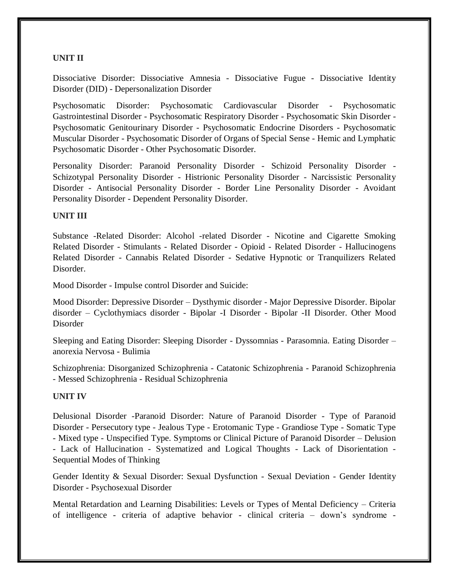#### **UNIT II**

Dissociative Disorder: Dissociative Amnesia - Dissociative Fugue - Dissociative Identity Disorder (DID) - Depersonalization Disorder

Psychosomatic Disorder: Psychosomatic Cardiovascular Disorder - Psychosomatic Gastrointestinal Disorder - Psychosomatic Respiratory Disorder - Psychosomatic Skin Disorder - Psychosomatic Genitourinary Disorder - Psychosomatic Endocrine Disorders - Psychosomatic Muscular Disorder - Psychosomatic Disorder of Organs of Special Sense - Hemic and Lymphatic Psychosomatic Disorder - Other Psychosomatic Disorder.

Personality Disorder: Paranoid Personality Disorder - Schizoid Personality Disorder - Schizotypal Personality Disorder - Histrionic Personality Disorder - Narcissistic Personality Disorder - Antisocial Personality Disorder - Border Line Personality Disorder - Avoidant Personality Disorder - Dependent Personality Disorder.

#### **UNIT III**

Substance -Related Disorder: Alcohol -related Disorder - Nicotine and Cigarette Smoking Related Disorder - Stimulants - Related Disorder - Opioid - Related Disorder - Hallucinogens Related Disorder - Cannabis Related Disorder - Sedative Hypnotic or Tranquilizers Related Disorder.

Mood Disorder - Impulse control Disorder and Suicide:

Mood Disorder: Depressive Disorder – Dysthymic disorder - Major Depressive Disorder. Bipolar disorder – Cyclothymiacs disorder - Bipolar -I Disorder - Bipolar -II Disorder. Other Mood Disorder

Sleeping and Eating Disorder: Sleeping Disorder - Dyssomnias - Parasomnia. Eating Disorder – anorexia Nervosa - Bulimia

Schizophrenia: Disorganized Schizophrenia - Catatonic Schizophrenia - Paranoid Schizophrenia - Messed Schizophrenia - Residual Schizophrenia

#### **UNIT IV**

Delusional Disorder -Paranoid Disorder: Nature of Paranoid Disorder - Type of Paranoid Disorder - Persecutory type - Jealous Type - Erotomanic Type - Grandiose Type - Somatic Type - Mixed type - Unspecified Type. Symptoms or Clinical Picture of Paranoid Disorder – Delusion - Lack of Hallucination - Systematized and Logical Thoughts - Lack of Disorientation - Sequential Modes of Thinking

Gender Identity & Sexual Disorder: Sexual Dysfunction - Sexual Deviation - Gender Identity Disorder - Psychosexual Disorder

Mental Retardation and Learning Disabilities: Levels or Types of Mental Deficiency – Criteria of intelligence - criteria of adaptive behavior - clinical criteria – down's syndrome -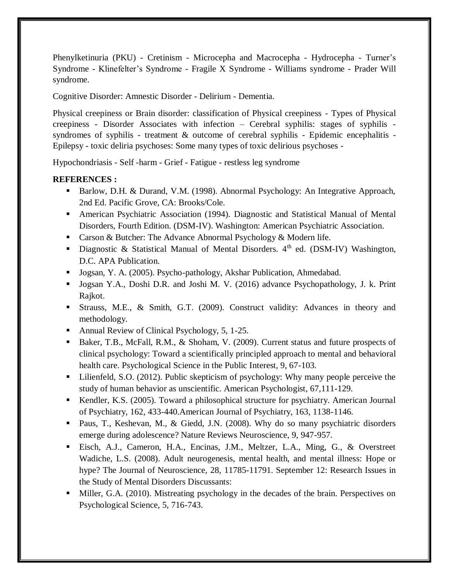Phenylketinuria (PKU) - Cretinism - Microcepha and Macrocepha - Hydrocepha - Turner's Syndrome - Klinefelter's Syndrome - Fragile X Syndrome - Williams syndrome - Prader Will syndrome.

Cognitive Disorder: Amnestic Disorder - Delirium - Dementia.

Physical creepiness or Brain disorder: classification of Physical creepiness - Types of Physical creepiness - Disorder Associates with infection – Cerebral syphilis: stages of syphilis syndromes of syphilis - treatment & outcome of cerebral syphilis - Epidemic encephalitis - Epilepsy - toxic deliria psychoses: Some many types of toxic delirious psychoses -

Hypochondriasis - Self -harm - Grief - Fatigue - restless leg syndrome

#### **REFERENCES :**

- Barlow, D.H. & Durand, V.M. (1998). Abnormal Psychology: An Integrative Approach, 2nd Ed. Pacific Grove, CA: Brooks/Cole.
- American Psychiatric Association (1994). Diagnostic and Statistical Manual of Mental Disorders, Fourth Edition. (DSM-IV). Washington: American Psychiatric Association.
- Carson & Butcher: The Advance Abnormal Psychology & Modern life.
- Diagnostic & Statistical Manual of Mental Disorders.  $4<sup>th</sup>$  ed. (DSM-IV) Washington, D.C. APA Publication.
- Jogsan, Y. A. (2005). Psycho-pathology, Akshar Publication, Ahmedabad.
- Jogsan Y.A., Doshi D.R. and Joshi M. V. (2016) advance Psychopathology, J. k. Print Rajkot.
- Strauss, M.E., & Smith, G.T. (2009). Construct validity: Advances in theory and methodology.
- Annual Review of Clinical Psychology, 5, 1-25.
- Baker, T.B., McFall, R.M., & Shoham, V. (2009). Current status and future prospects of clinical psychology: Toward a scientifically principled approach to mental and behavioral health care. Psychological Science in the Public Interest, 9, 67-103.
- Lilienfeld, S.O. (2012). Public skepticism of psychology: Why many people perceive the study of human behavior as unscientific. American Psychologist, 67,111-129.
- Kendler, K.S. (2005). Toward a philosophical structure for psychiatry. American Journal of Psychiatry, 162, 433-440.American Journal of Psychiatry, 163, 1138-1146.
- Paus, T., Keshevan, M., & Giedd, J.N. (2008). Why do so many psychiatric disorders emerge during adolescence? Nature Reviews Neuroscience, 9, 947-957.
- Eisch, A.J., Cameron, H.A., Encinas, J.M., Meltzer, L.A., Ming, G., & Overstreet Wadiche, L.S. (2008). Adult neurogenesis, mental health, and mental illness: Hope or hype? The Journal of Neuroscience, 28, 11785-11791. September 12: Research Issues in the Study of Mental Disorders Discussants:
- Miller, G.A. (2010). Mistreating psychology in the decades of the brain. Perspectives on Psychological Science, 5, 716-743.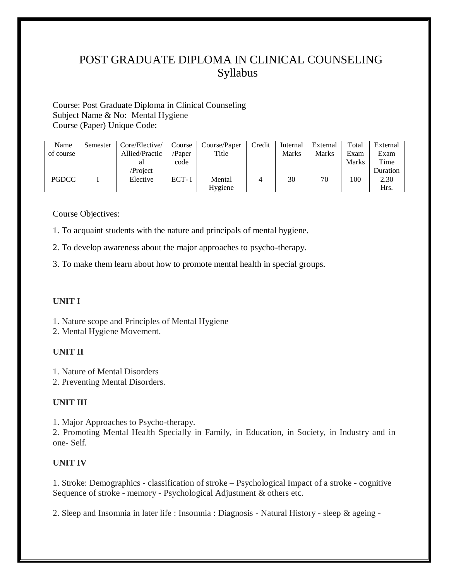Course: Post Graduate Diploma in Clinical Counseling Subject Name & No: Mental Hygiene Course (Paper) Unique Code:

| Name         | Semester | Core/Elective/ | Course | Course/Paper | Credit | Internal | External | Total        | External |
|--------------|----------|----------------|--------|--------------|--------|----------|----------|--------------|----------|
| of course    |          | Allied/Practic | /Paper | Title        |        | Marks    | Marks    | Exam         | Exam     |
|              |          | al             | code   |              |        |          |          | <b>Marks</b> | Time     |
|              |          | /Project       |        |              |        |          |          |              | Duration |
| <b>PGDCC</b> |          | Elective       | ECT-I  | Mental       |        | 30       | 70       | 100          | 2.30     |
|              |          |                |        | Hygiene      |        |          |          |              | Hrs.     |

Course Objectives:

1. To acquaint students with the nature and principals of mental hygiene.

2. To develop awareness about the major approaches to psycho-therapy.

3. To make them learn about how to promote mental health in special groups.

#### **UNIT I**

1. Nature scope and Principles of Mental Hygiene

2. Mental Hygiene Movement.

#### **UNIT II**

1. Nature of Mental Disorders

2. Preventing Mental Disorders.

#### **UNIT III**

1. Major Approaches to Psycho-therapy.

2. Promoting Mental Health Specially in Family, in Education, in Society, in Industry and in one- Self.

#### **UNIT IV**

1. Stroke: Demographics - classification of stroke – Psychological Impact of a stroke - cognitive Sequence of stroke - memory - Psychological Adjustment & others etc.

2. Sleep and Insomnia in later life : Insomnia : Diagnosis - Natural History - sleep & ageing -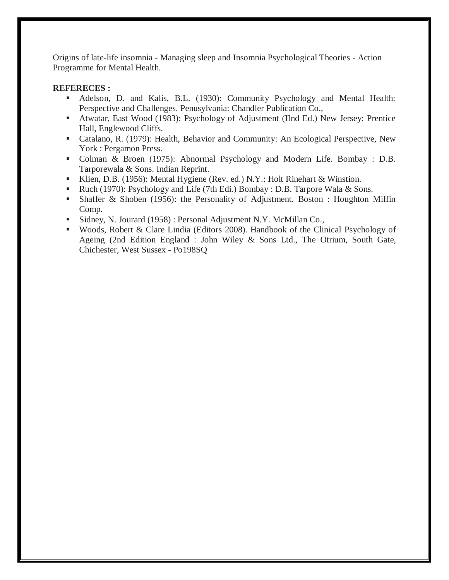Origins of late-life insomnia - Managing sleep and Insomnia Psychological Theories - Action Programme for Mental Health.

#### **REFERECES :**

- Adelson, D. and Kalis, B.L. (1930): Community Psychology and Mental Health: Perspective and Challenges. Penusylvania: Chandler Publication Co.,
- Atwatar, East Wood (1983): Psychology of Adjustment (IInd Ed.) New Jersey: Prentice Hall, Englewood Cliffs.
- Catalano, R. (1979): Health, Behavior and Community: An Ecological Perspective, New York : Pergamon Press.
- Colman & Broen (1975): Abnormal Psychology and Modern Life. Bombay : D.B. Tarporewala & Sons. Indian Reprint.
- Klien, D.B. (1956): Mental Hygiene (Rev. ed.) N.Y.: Holt Rinehart & Winstion.
- Ruch (1970): Psychology and Life (7th Edi.) Bombay : D.B. Tarpore Wala & Sons.
- Shaffer & Shoben (1956): the Personality of Adjustment. Boston : Houghton Miffin Comp.
- Sidney, N. Jourard (1958) : Personal Adjustment N.Y. McMillan Co.,
- Woods, Robert & Clare Lindia (Editors 2008). Handbook of the Clinical Psychology of Ageing (2nd Edition England : John Wiley & Sons Ltd., The Otrium, South Gate, Chichester, West Sussex - Po198SQ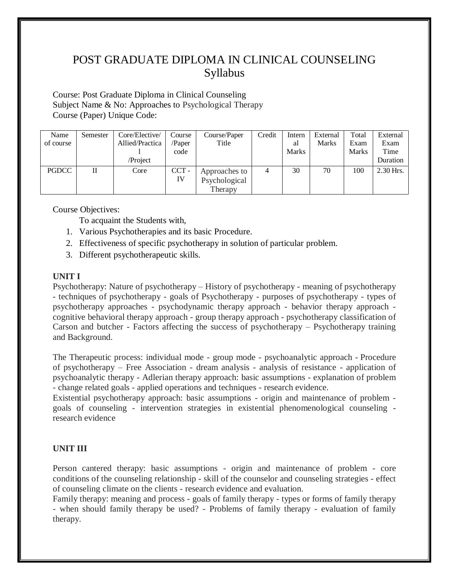Course: Post Graduate Diploma in Clinical Counseling Subject Name & No: Approaches to Psychological Therapy Course (Paper) Unique Code:

| Name         | Semester | Core/Elective/  | Course  | Course/Paper  | Credit | Intern       | External | Total        | External  |
|--------------|----------|-----------------|---------|---------------|--------|--------------|----------|--------------|-----------|
| of course    |          | Allied/Practica | /Paper  | Title         |        | al           | Marks    | Exam         | Exam      |
|              |          |                 | code    |               |        | <b>Marks</b> |          | <b>Marks</b> | Time      |
|              |          | /Project        |         |               |        |              |          |              | Duration  |
| <b>PGDCC</b> | П        | Core            | $CCT -$ | Approaches to | 4      | 30           | 70       | 100          | 2.30 Hrs. |
|              |          |                 | IV      | Psychological |        |              |          |              |           |
|              |          |                 |         | Therapy       |        |              |          |              |           |

Course Objectives:

To acquaint the Students with,

- 1. Various Psychotherapies and its basic Procedure.
- 2. Effectiveness of specific psychotherapy in solution of particular problem.
- 3. Different psychotherapeutic skills.

#### **UNIT I**

Psychotherapy: Nature of psychotherapy – History of psychotherapy - meaning of psychotherapy - techniques of psychotherapy - goals of Psychotherapy - purposes of psychotherapy - types of psychotherapy approaches - psychodynamic therapy approach - behavior therapy approach cognitive behavioral therapy approach - group therapy approach - psychotherapy classification of Carson and butcher - Factors affecting the success of psychotherapy – Psychotherapy training and Background.

The Therapeutic process: individual mode - group mode - psychoanalytic approach - Procedure of psychotherapy – Free Association - dream analysis - analysis of resistance - application of psychoanalytic therapy - Adlerian therapy approach: basic assumptions - explanation of problem - change related goals - applied operations and techniques - research evidence.

Existential psychotherapy approach: basic assumptions - origin and maintenance of problem goals of counseling - intervention strategies in existential phenomenological counseling research evidence

#### **UNIT III**

Person cantered therapy: basic assumptions - origin and maintenance of problem - core conditions of the counseling relationship - skill of the counselor and counseling strategies - effect of counseling climate on the clients - research evidence and evaluation.

Family therapy: meaning and process - goals of family therapy - types or forms of family therapy - when should family therapy be used? - Problems of family therapy - evaluation of family therapy.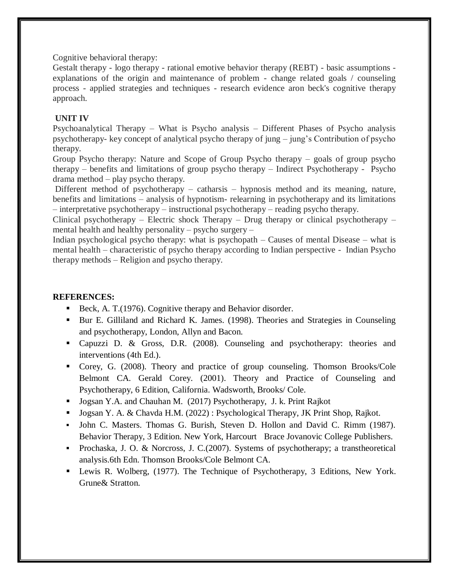Cognitive behavioral therapy:

Gestalt therapy - logo therapy - rational emotive behavior therapy (REBT) - basic assumptions explanations of the origin and maintenance of problem - change related goals / counseling process - applied strategies and techniques - research evidence aron beck's cognitive therapy approach.

#### **UNIT IV**

Psychoanalytical Therapy – What is Psycho analysis – Different Phases of Psycho analysis psychotherapy- key concept of analytical psycho therapy of jung – jung's Contribution of psycho therapy.

Group Psycho therapy: Nature and Scope of Group Psycho therapy – goals of group psycho therapy – benefits and limitations of group psycho therapy – Indirect Psychotherapy - Psycho drama method – play psycho therapy.

Different method of psychotherapy – catharsis – hypnosis method and its meaning, nature, benefits and limitations – analysis of hypnotism- relearning in psychotherapy and its limitations – interpretative psychotherapy – instructional psychotherapy – reading psycho therapy.

Clinical psychotherapy – Electric shock Therapy – Drug therapy or clinical psychotherapy – mental health and healthy personality – psycho surgery –

Indian psychological psycho therapy: what is psychopath  $-$  Causes of mental Disease  $-$  what is mental health – characteristic of psycho therapy according to Indian perspective - Indian Psycho therapy methods – Religion and psycho therapy.

#### **REFERENCES:**

- Beck, A. T. (1976). Cognitive therapy and Behavior disorder.
- Bur E. Gilliland and Richard K. James. (1998). Theories and Strategies in Counseling and psychotherapy, London, Allyn and Bacon.
- Capuzzi D. & Gross, D.R. (2008). Counseling and psychotherapy: theories and interventions (4th Ed.).
- Corey, G. (2008). Theory and practice of group counseling. Thomson Brooks/Cole Belmont CA. Gerald Corey. (2001). Theory and Practice of Counseling and Psychotherapy, 6 Edition, California. Wadsworth, Brooks/ Cole.
- **Jogsan Y.A. and Chauhan M. (2017) Psychotherapy, J. k. Print Rajkot**
- Jogsan Y. A. & Chavda H.M. (2022) : Psychological Therapy, JK Print Shop, Rajkot.
- John C. Masters. Thomas G. Burish, Steven D. Hollon and David C. Rimm (1987). Behavior Therapy, 3 Edition. New York, Harcourt Brace Jovanovic College Publishers.
- Prochaska, J. O. & Norcross, J. C.  $(2007)$ . Systems of psychotherapy; a transtheoretical analysis.6th Edn. Thomson Brooks/Cole Belmont CA.
- Lewis R. Wolberg, (1977). The Technique of Psychotherapy, 3 Editions, New York. Grune& Stratton.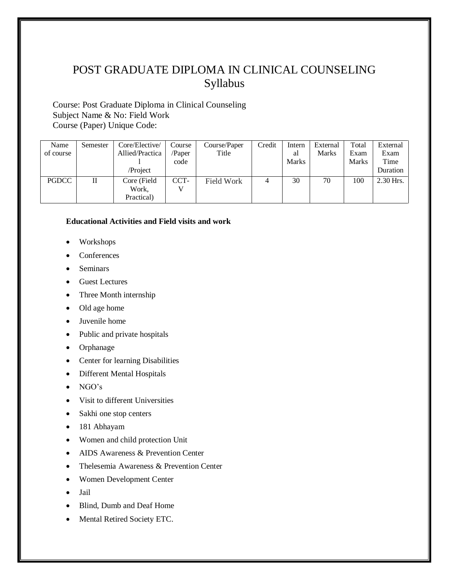Course: Post Graduate Diploma in Clinical Counseling Subject Name & No: Field Work Course (Paper) Unique Code:

| Name         | Semester | Core/Elective/        | Course | Course/Paper | Credit | Intern       | External | Total | External    |
|--------------|----------|-----------------------|--------|--------------|--------|--------------|----------|-------|-------------|
| of course    |          | Allied/Practica       | /Paper | Title        |        | al           | Marks    | Exam  | Exam        |
|              |          |                       | code   |              |        | <b>Marks</b> |          | Marks | Time        |
|              |          | /Project              |        |              |        |              |          |       | Duration    |
| <b>PGDCC</b> | П        | Core (Field)<br>Work, | CCT-   | Field Work   |        | 30           | 70       | 100   | $2.30$ Hrs. |
|              |          | Practical)            |        |              |        |              |          |       |             |

#### **Educational Activities and Field visits and work**

- Workshops
- Conferences
- Seminars
- Guest Lectures
- Three Month internship
- Old age home
- Juvenile home
- Public and private hospitals
- Orphanage
- Center for learning Disabilities
- Different Mental Hospitals
- $\bullet$  NGO's
- Visit to different Universities
- Sakhi one stop centers
- 181 Abhayam
- Women and child protection Unit
- AIDS Awareness & Prevention Center
- Thelesemia Awareness & Prevention Center
- Women Development Center
- Jail
- Blind, Dumb and Deaf Home
- Mental Retired Society ETC.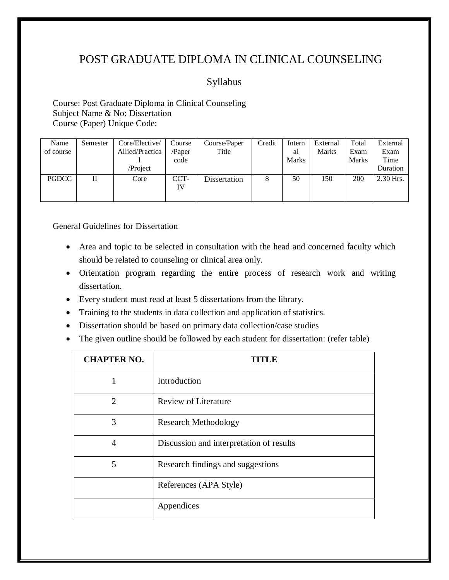### Syllabus

Course: Post Graduate Diploma in Clinical Counseling Subject Name & No: Dissertation Course (Paper) Unique Code:

| Name      | Semester | Core/Elective/  | Course     | Course/Paper | Credit | Intern       | External | Total        | External  |
|-----------|----------|-----------------|------------|--------------|--------|--------------|----------|--------------|-----------|
| of course |          | Allied/Practica | /Paper     | Title        |        | al           | Marks    | Exam         | Exam      |
|           |          |                 | code       |              |        | <b>Marks</b> |          | <b>Marks</b> | Time      |
|           |          | /Project        |            |              |        |              |          |              | Duration  |
| PGDCC     | П        | Core            | CCT-<br>IV | Dissertation | 8      | 50           | 150      | 200          | 2.30 Hrs. |

General Guidelines for Dissertation

- Area and topic to be selected in consultation with the head and concerned faculty which should be related to counseling or clinical area only.
- Orientation program regarding the entire process of research work and writing dissertation.
- Every student must read at least 5 dissertations from the library.
- Training to the students in data collection and application of statistics.
- Dissertation should be based on primary data collection/case studies
- The given outline should be followed by each student for dissertation: (refer table)

| <b>CHAPTER NO.</b>          | LK.                                      |
|-----------------------------|------------------------------------------|
|                             | Introduction                             |
| $\mathcal{D}_{\mathcal{L}}$ | <b>Review of Literature</b>              |
| 3                           | <b>Research Methodology</b>              |
| 4                           | Discussion and interpretation of results |
| 5                           | Research findings and suggestions        |
|                             | References (APA Style)                   |
|                             | Appendices                               |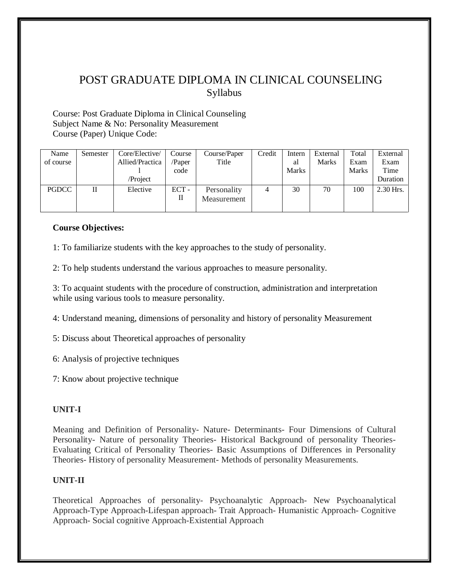Course: Post Graduate Diploma in Clinical Counseling Subject Name & No: Personality Measurement Course (Paper) Unique Code:

| Name         | Semester | Core/Elective/  | Course | Course/Paper | Credit | Intern       | External     | Total        | External    |
|--------------|----------|-----------------|--------|--------------|--------|--------------|--------------|--------------|-------------|
| of course    |          | Allied/Practica | /Paper | Title        |        | al           | <b>Marks</b> | Exam         | Exam        |
|              |          |                 | code   |              |        | <b>Marks</b> |              | <b>Marks</b> | Time        |
|              |          | /Project        |        |              |        |              |              |              | Duration    |
| <b>PGDCC</b> | П        | Elective        | $ECT-$ | Personality  | 4      | 30           | 70           | 100          | $2.30$ Hrs. |
|              |          |                 | П      | Measurement  |        |              |              |              |             |
|              |          |                 |        |              |        |              |              |              |             |

#### **Course Objectives:**

1: To familiarize students with the key approaches to the study of personality.

2: To help students understand the various approaches to measure personality.

3: To acquaint students with the procedure of construction, administration and interpretation while using various tools to measure personality.

4: Understand meaning, dimensions of personality and history of personality Measurement

5: Discuss about Theoretical approaches of personality

6: Analysis of projective techniques

7: Know about projective technique

#### **UNIT-I**

Meaning and Definition of Personality- Nature- Determinants- Four Dimensions of Cultural Personality- Nature of personality Theories- Historical Background of personality Theories-Evaluating Critical of Personality Theories- Basic Assumptions of Differences in Personality Theories- History of personality Measurement- Methods of personality Measurements.

#### **UNIT-II**

Theoretical Approaches of personality- Psychoanalytic Approach- New Psychoanalytical Approach-Type Approach-Lifespan approach- Trait Approach- Humanistic Approach- Cognitive Approach- Social cognitive Approach-Existential Approach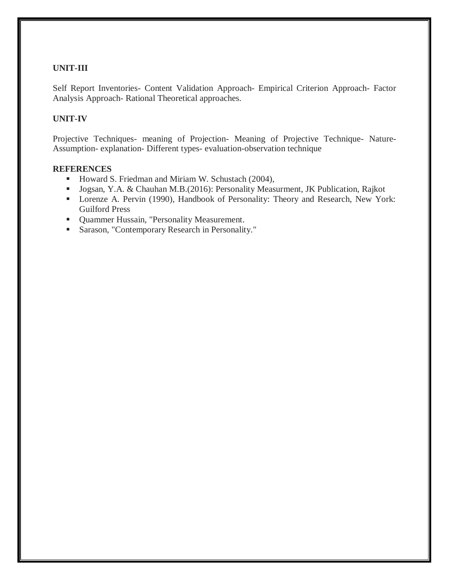#### **UNIT-III**

Self Report Inventories- Content Validation Approach- Empirical Criterion Approach- Factor Analysis Approach- Rational Theoretical approaches.

#### **UNIT-IV**

Projective Techniques- meaning of Projection- Meaning of Projective Technique- Nature-Assumption- explanation- Different types- evaluation-observation technique

#### **REFERENCES**

- Howard S. Friedman and Miriam W. Schustach (2004),
- Jogsan, Y.A. & Chauhan M.B.(2016): Personality Measurment, JK Publication, Rajkot
- **Lorenze A. Pervin (1990), Handbook of Personality: Theory and Research, New York:** Guilford Press
- **Quammer Hussain, "Personality Measurement.**
- Sarason, "Contemporary Research in Personality."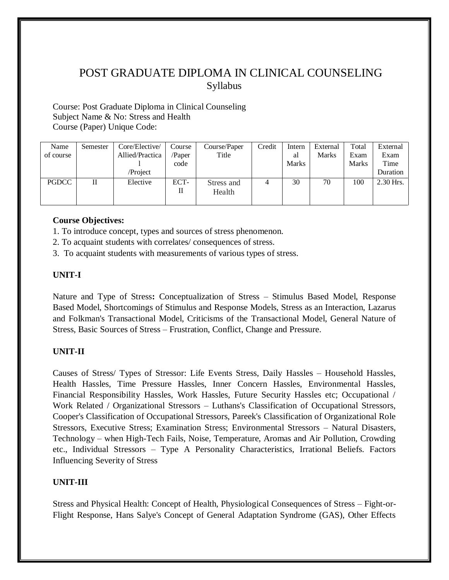Course: Post Graduate Diploma in Clinical Counseling Subject Name & No: Stress and Health Course (Paper) Unique Code:

| Name         | Semester | Core/Elective/  | Course | Course/Paper | Credit | Intern | External     | Total        | External  |
|--------------|----------|-----------------|--------|--------------|--------|--------|--------------|--------------|-----------|
| of course    |          | Allied/Practica | /Paper | Title        |        | al     | <b>Marks</b> | Exam         | Exam      |
|              |          |                 | code   |              |        | Marks  |              | <b>Marks</b> | Time      |
|              |          | /Project        |        |              |        |        |              |              | Duration  |
| <b>PGDCC</b> | П        | Elective        | ECT-   | Stress and   |        | 30     | 70           | 100          | 2.30 Hrs. |
|              |          |                 | П      | Health       |        |        |              |              |           |
|              |          |                 |        |              |        |        |              |              |           |

#### **Course Objectives:**

- 1. To introduce concept, types and sources of stress phenomenon.
- 2. To acquaint students with correlates/ consequences of stress.
- 3. To acquaint students with measurements of various types of stress.

#### **UNIT-I**

Nature and Type of Stress**:** Conceptualization of Stress – Stimulus Based Model, Response Based Model, Shortcomings of Stimulus and Response Models, Stress as an Interaction, Lazarus and Folkman's Transactional Model, Criticisms of the Transactional Model, General Nature of Stress, Basic Sources of Stress – Frustration, Conflict, Change and Pressure.

#### **UNIT-II**

Causes of Stress/ Types of Stressor: Life Events Stress, Daily Hassles – Household Hassles, Health Hassles, Time Pressure Hassles, Inner Concern Hassles, Environmental Hassles, Financial Responsibility Hassles, Work Hassles, Future Security Hassles etc; Occupational / Work Related / Organizational Stressors – Luthans's Classification of Occupational Stressors, Cooper's Classification of Occupational Stressors, Pareek's Classification of Organizational Role Stressors, Executive Stress; Examination Stress; Environmental Stressors – Natural Disasters, Technology – when High-Tech Fails, Noise, Temperature, Aromas and Air Pollution, Crowding etc., Individual Stressors – Type A Personality Characteristics, Irrational Beliefs. Factors Influencing Severity of Stress

#### **UNIT-III**

Stress and Physical Health: Concept of Health, Physiological Consequences of Stress – Fight-or-Flight Response, Hans Salye's Concept of General Adaptation Syndrome (GAS), Other Effects